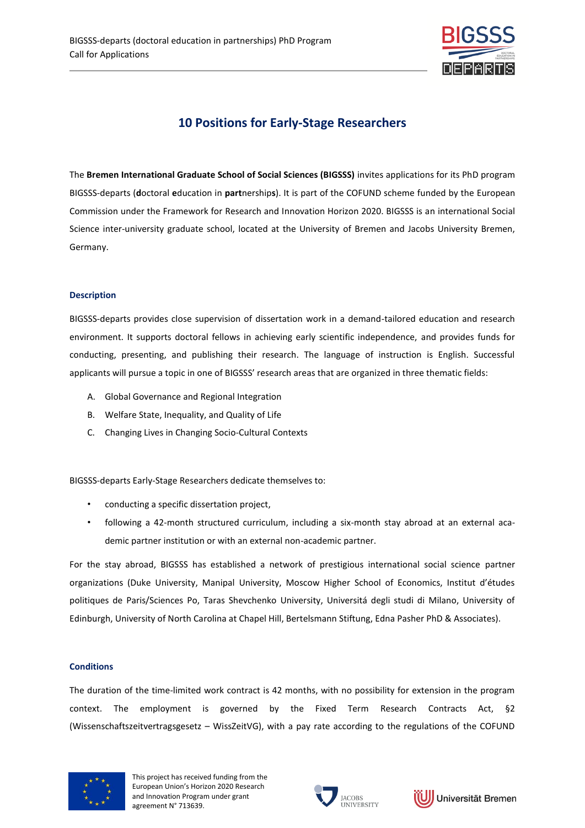

# **10 Positions for Early-Stage Researchers**

The **Bremen International Graduate School of Social Sciences (BIGSSS)** invites applications for its PhD program BIGSSS-departs (**d**octoral **e**ducation in **part**nership**s**). It is part of the COFUND scheme funded by the European Commission under the Framework for Research and Innovation Horizon 2020. BIGSSS is an international Social Science inter-university graduate school, located at the University of Bremen and Jacobs University Bremen, Germany.

## **Description**

BIGSSS-departs provides close supervision of dissertation work in a demand-tailored education and research environment. It supports doctoral fellows in achieving early scientific independence, and provides funds for conducting, presenting, and publishing their research. The language of instruction is English. Successful applicants will pursue a topic in one of BIGSSS' research areas that are organized in three thematic fields:

- A. Global Governance and Regional Integration
- B. Welfare State, Inequality, and Quality of Life
- C. Changing Lives in Changing Socio-Cultural Contexts

BIGSSS-departs Early-Stage Researchers dedicate themselves to:

- conducting a specific dissertation project,
- following a 42-month structured curriculum, including a six-month stay abroad at an external academic partner institution or with an external non-academic partner.

For the stay abroad, BIGSSS has established a network of prestigious international social science partner organizations (Duke University, Manipal University, Moscow Higher School of Economics, Institut d'études politiques de Paris/Sciences Po, Taras Shevchenko University, Universitá degli studi di Milano, University of Edinburgh, University of North Carolina at Chapel Hill, Bertelsmann Stiftung, Edna Pasher PhD & Associates).

### **Conditions**

The duration of the time-limited work contract is 42 months, with no possibility for extension in the program context. The employment is governed by the Fixed Term Research Contracts Act, §2 (Wissenschaftszeitvertragsgesetz – WissZeitVG), with a pay rate according to the regulations of the COFUND